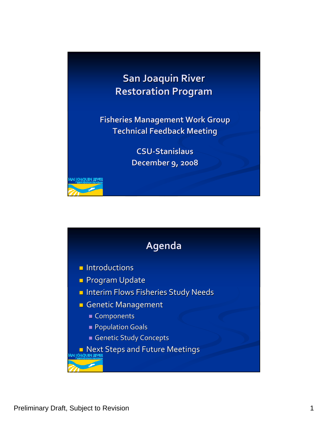## **San Joaquin Joaquin River Restoration Restoration Program Program**

**Fisheries Fisheries Management Management Work Group Technical Technical Feedback Feedback Meeting Meeting**

> **CSU‐Stanislaus Stanislaus December December 9, 2008**

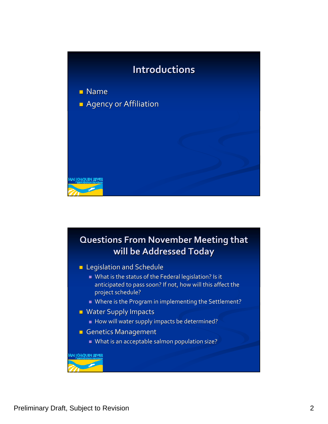

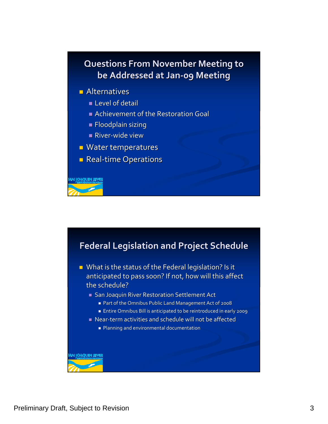## **Questions Questions From November November Meeting Meeting to be Addressed Addressed at Jan‐09 Meeting Meeting**

- $\blacksquare$  Alternatives
	- **Level of detail**
	- Achievement of the Restoration Goal
	- $\blacksquare$  Floodplain sizing
	- River-wide view
- $\blacksquare$  Water temperatures
- Real-time Operations

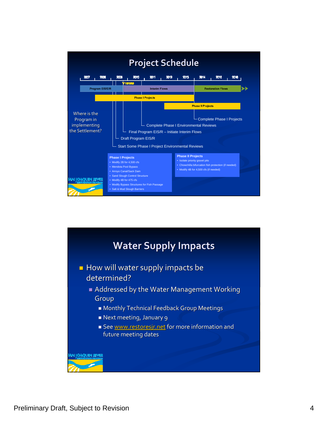

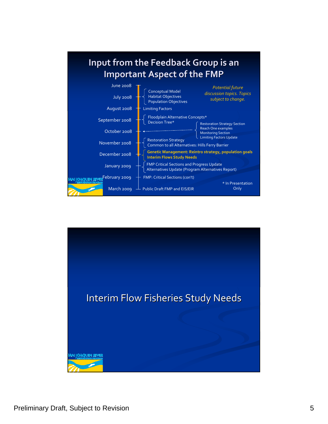

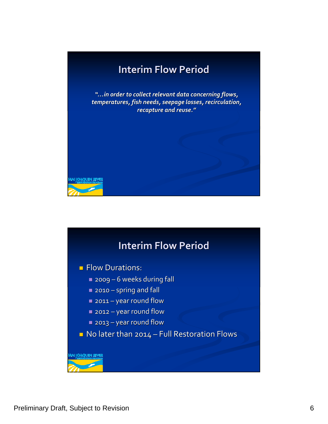

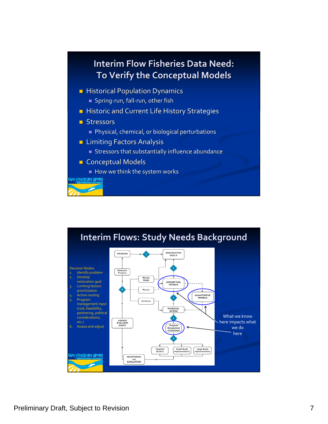

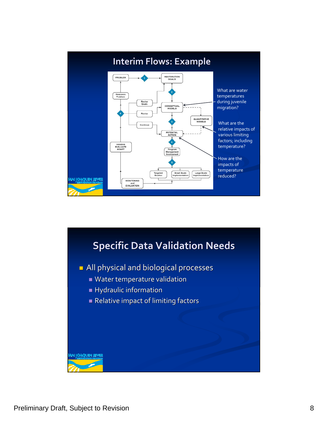

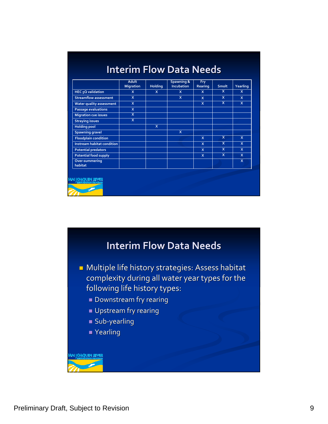|                               | <b>Adult</b><br><b>Migration</b> | <b>Holding</b> | Spawning &<br><b>Incubation</b> | <b>Fry</b><br>Rearing | <b>Smolt</b>            | Yearling                |
|-------------------------------|----------------------------------|----------------|---------------------------------|-----------------------|-------------------------|-------------------------|
| HEC <sub>5</sub> Q validation | $\mathbf{x}$                     | $\mathbf{x}$   | $\mathbf{x}$                    | $\mathsf{x}$          | $\overline{\mathsf{x}}$ | $\mathsf{x}$            |
| <b>Streamflow assessment</b>  | $\mathsf{x}$                     |                | $\mathsf{x}$                    | $\mathsf{x}$          | $\mathsf{x}$            | X                       |
| Water quality assessment      | $\mathsf{x}$                     |                |                                 | $\mathsf{x}$          | $\overline{\mathsf{x}}$ | X.                      |
| <b>Passage evaluations</b>    | $\mathsf{x}$                     |                |                                 |                       |                         |                         |
| <b>Migration cue issues</b>   | X                                |                |                                 |                       |                         |                         |
| <b>Straying issues</b>        | $\overline{\mathsf{x}}$          |                |                                 |                       |                         |                         |
| <b>Holding pool</b>           |                                  | $\mathsf{x}$   |                                 |                       |                         |                         |
| <b>Spawning gravel</b>        |                                  |                | $\mathsf{x}$                    |                       |                         |                         |
| <b>Floodplain condition</b>   |                                  |                |                                 | $\mathsf{x}$          | $\overline{\mathbf{x}}$ | $\overline{\mathbf{x}}$ |
| Instream habitat condition    |                                  |                |                                 | $\mathsf{x}$          | $\overline{\mathsf{x}}$ | $\mathsf{x}$            |
| <b>Potential predators</b>    |                                  |                |                                 | X                     | $\overline{\mathsf{x}}$ | $\mathsf{x}$            |
| <b>Potential food supply</b>  |                                  |                |                                 | $\mathsf{x}$          | $\overline{\mathsf{x}}$ | <b>X</b>                |
| Over-summering<br>habitat     |                                  |                |                                 |                       |                         | $\mathsf{x}$            |

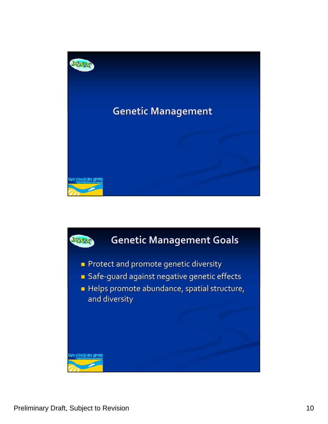

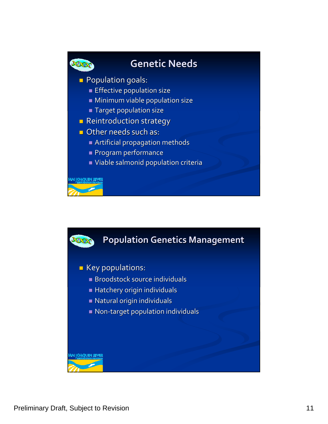

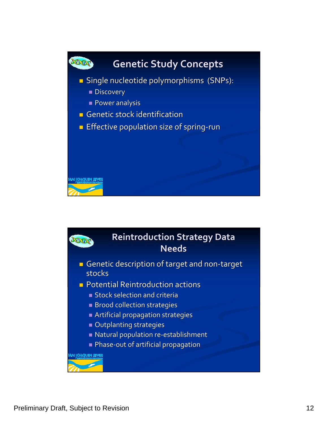